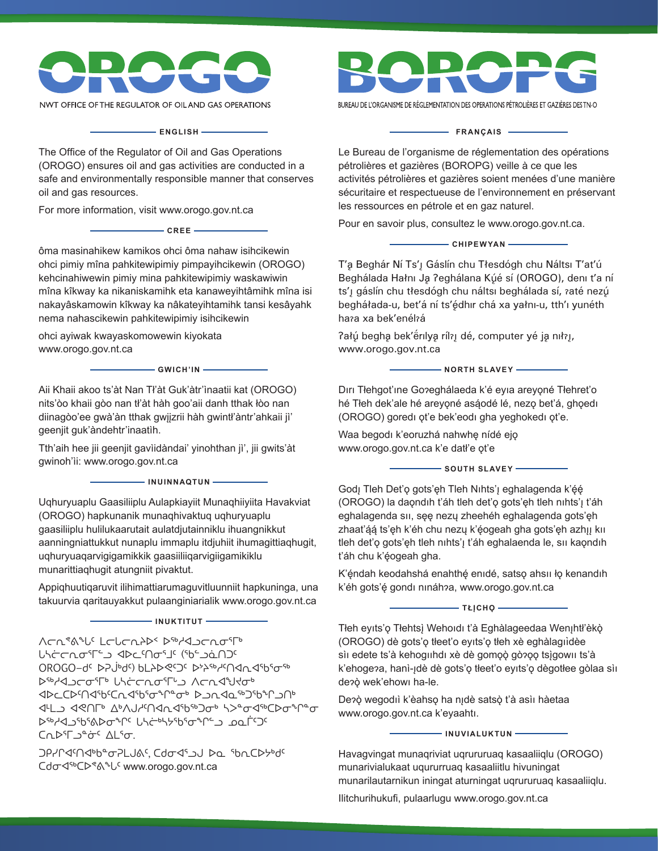

NWT OFFICE OF THE REGULATOR OF OIL AND GAS OPERATIONS

**ENGLISH**

The Office of the Regulator of Oil and Gas Operations (OROGO) ensures oil and gas activities are conducted in a safe and environmentally responsible manner that conserves oil and gas resources.

For more information, visit www.orogo.gov.nt.ca

ôma masinahikew kamikos ohci ôma nahaw isihcikewin ohci pimiy mîna pahkitewipimiy pimpayihcikewin (OROGO) kehcinahiwewin pimiy mina pahkitewipimiy waskawiwin mîna kîkway ka nikaniskamihk eta kanaweyihtâmihk mîna isi nakayâskamowin kîkway ka nâkateyihtamihk tansi kesâyahk nema nahascikewin pahkitewipimiy isihcikewin

**CREE**

ohci ayiwak kwayaskomowewin kiyokata www.orogo.gov.nt.ca

**GWICH'IN**

Aii Khaii akoo ts'àt Nan Tł'àt Guk'àtr'ìnaatii kat (OROGO) nits'òo khaii gòo nan tł'àt hàh goo'aii danh tthak łòo nan diinagòo'ee gwà'àn tthak gwįįzrii hàh gwintł'àntr'ahkaii jì' geenjit guk'àndehtr'inaatìh.

Tth'aih hee jii geenjit gavìidàndai' yinohthan jì', jii gwits'àt gwinoh'ìi: www.orogo.gov.nt.ca

**INUINNAQTUN**

Uqhuryuaplu Gaasiliiplu Aulapkiayiit Munaqhiiyiita Havakviat (OROGO) hapkunanik munaqhivaktuq uqhuryuaplu gaasiliiplu hulilukaarutait aulatdjutainniklu ihuangnikkut aanningniattukkut nunaplu immaplu itdjuhiit ihumagittiaqhugit, uqhuryuaqarvigigamikkik gaasiiliiqarvigiigamikiklu munarittiaqhugit atungniit pivaktut.

Appiqhuutiqaruvit ilihimattiarumaguvitluunniit hapkuninga, una takuurvia qaritauyakkut pulaanginiarialik www.orogo.gov.nt.ca

**INUKTITUT**

∧⊂^<���� /<ro Uaron⊃ia C<sup>→</sup>TaA OROGO−dc DPJbdc) bLAD <0> ᐅᖅᓱᐊᓗᓕᓂᕐᒥᒃ ᒐᓴᓖᓕᕆᓂᕐᒥᒡᓗ ᐱᓕᕆᐊᖑᔪᓂᒃ ⊲▷⊂C▷᠓⋖ჼႦ₢ႺbmথჼႦჼਯჼ ▷⊇bmথ≏ჼ᠑ჼႦჼႶჂႶჼ ⊲<u>┞</u>ͺͺϤϨͶΓ·ϪϷϒϤϞϤͶϤϔϨͼϷϘ;ϓϡͼϘϤͼϹϷϘϧϤͼ ᐅᖅᓱᐊᓗᖃᕐᕕᐅᓂᖏᑦ ᒐᓴᓖᒃᓴᔭᖃᕐᓂᖏᓪᓗ ᓄᓇᒦᑦᑐᑦ ᑕᕆᐅᕐᒥᓗᓐᓃᑦ ᐃᒪᕐᓂ.

**ϽΡ/Ր⊲Μ**ΦԵªσΡLJ&ς Cdσ<βω∪ Þa ibnCÞ<del>b</del>d ᑕᑯᓂᐊᖅᑕᐅᕝᕕᖓᑦ www.orogo.gov.nt.ca

BUREAU DE L'ORGANISME DE RÉGLEMENTATION DES OPERATIONS PÉTROLIÈRES ET GAZIÈRES DES TN-O

## - FRANÇAIS -

Le Bureau de l'organisme de réglementation des opérations pétrolières et gazières (BOROPG) veille à ce que les activités pétrolières et gazières soient menées d'une manière sécuritaire et respectueuse de l'environnement en préservant les ressources en pétrole et en gaz naturel.

Pour en savoir plus, consultez le www.orogo.gov.nt.ca.

**CHIPEWYAN**

T'a Beghár Ní Ts' [ Gáslín chu Tłesdógh chu Náltsi T'at'ú Beghálada Hałnı Ja ?eghálana Kúé sí (OROGO), deni t'a ní ts'j gáslín chu tłesdógh chu náltsi beghálada sí, raté nezú begháłada-u, bet'á ní ts'édhir chá xa yałni-u, tth'i yunéth hara xa bek'enélrá

Pałú begha bek'erilya rílaj dé, computer yé ja nilaj, www.orogo.gov.nt.ca

**NORTH SLAVEY** 

Dırı Tłehgot'ıne Goɂeghálaeda k'é eyıa areyǫné Tłehret'o hé Tłeh dek'ale hé areyǫné asą́ odé lé, nezǫ bet'á, ghǫedı (OROGO) goredı ǫt'e bek'eodı gha yeghokedı ǫt'e.

Waa begodi k'eoruzhá nahwhę nídé ejo www.orogo.gov.nt.ca k'e datł'e ǫt'e

**SOUTH SLAVEY** 

Godį Tleh Deť $\mathfrak d$  gots'ęh Tleh Nıhts'į eghalagenda k'ę́ę́ (OROGO) la daǫndıh t'áh tleh det'ǫ gots'ęh tleh nıhts'ı̨ t'áh eghalagenda sıı, sęę nezų zheehéh eghalagenda gots'ęh zhaaťą́ą́ ts'ęh k'éh chu nezų k'ę́ogeah gha gots'ęh azhįį kii tleh det'o gots'eh tleh nihts' t'áh eghalaenda le, sii kaondih t'áh chu k'ę́ ogeah gha.

K'ę́ ndah keodahshá enahthę́ enıdé, satsǫ ahsıı łǫ kenandıh k'éh gots'ę́ gondi nináh<mark>ʔa, www.orogo.gov.nt.ca</mark>

**- ΤŁĮCHQ** -

Tłeh eyıts'ǫ Tłehtsį Wehoıdı t'à Eghàlageedaa Wenįhtł'èkǫ̀ (OROGO) dè gots'ǫ tłeet'o eyıts'ǫ tłeh xè eghàlagııdèe ̀ sìı edete ts'à kehogııhdı xè dè gomǫǫ̀ gòʔǫǫ tsį̀gowıı ts'à k'ehogeʔa, hanì-įdè dè gots'ǫ tłeet'o eyıts'ǫ dègotłee gòlaa sìı deɂǫ̀ wek'ehowı ha-le.

Deʔǫ̀ wegodıì k'èahsǫ ha nįdè satsǫ̀ t'à asìı hàetaa www.orogo.gov.nt.ca k'eyaahtı.

**INUVIALUKTUN**

Havagvingat munaqriviat uqrururuaq kasaaliiqlu (OROGO) munarivialukaat uqururruaq kasaaliitlu hivuningat munarilautarnikun iningat aturningat uqrururuaq kasaaliiqlu.

Ilitchurihukufi, pulaarlugu www.orogo.gov.nt.ca